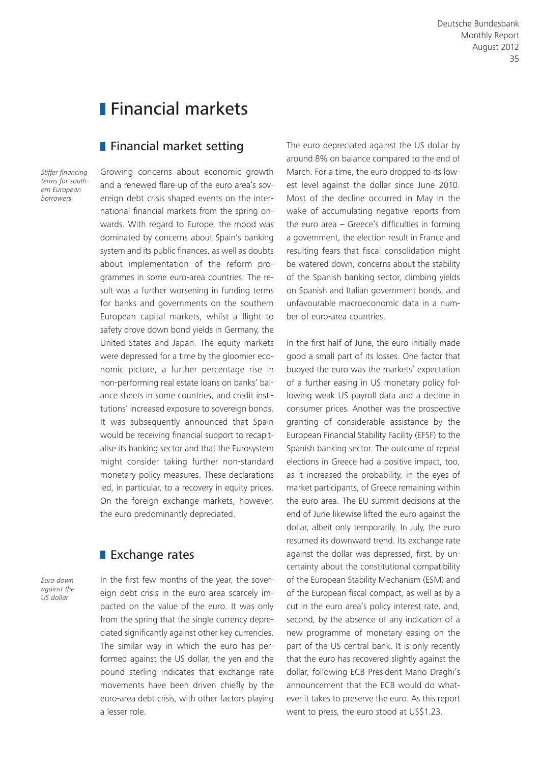# **Financial markets**

## **Financial market setting**

*Stiffer financing terms for southern European borrowers*

Growing concerns about economic growth and a renewed flare-up of the euro area's sovereign debt crisis shaped events on the international financial markets from the spring onwards. With regard to Europe, the mood was dominated by concerns about Spain's banking system and its public finances, as well as doubts about implementation of the reform programmes in some euro-area countries. The result was a further worsening in funding terms for banks and governments on the southern European capital markets, whilst a flight to safety drove down bond yields in Germany, the United States and Japan. The equity markets were depressed for a time by the gloomier economic picture, a further percentage rise in non-performing real estate loans on banks' balance sheets in some countries, and credit institutions' increased exposure to sovereign bonds. It was subsequently announced that Spain would be receiving financial support to recapitalise its banking sector and that the Eurosystem might consider taking further non-standard monetary policy measures. These declarations led, in particular, to a recovery in equity prices. On the foreign exchange markets, however, the euro predominantly depreciated.

### **Exchange rates**

*Euro down against the US dollar*

In the first few months of the year, the sovereign debt crisis in the euro area scarcely impacted on the value of the euro. It was only from the spring that the single currency depreciated significantly against other key currencies. The similar way in which the euro has performed against the US dollar, the yen and the pound sterling indicates that exchange rate movements have been driven chiefly by the euro-area debt crisis, with other factors playing a lesser role.

The euro depreciated against the US dollar by around 8% on balance compared to the end of March. For a time, the euro dropped to its lowest level against the dollar since June 2010. Most of the decline occurred in May in the wake of accumulating negative reports from the euro area – Greece's difficulties in forming a government, the election result in France and resulting fears that fiscal consolidation might be watered down, concerns about the stability of the Spanish banking sector, climbing yields on Spanish and Italian government bonds, and unfavourable macroeconomic data in a number of euro-area countries.

In the first half of June, the euro initially made good a small part of its losses. One factor that buoyed the euro was the markets' expectation of a further easing in US monetary policy following weak US payroll data and a decline in consumer prices. Another was the prospective granting of considerable assistance by the European Financial Stability Facility (EFSF) to the Spanish banking sector. The outcome of repeat elections in Greece had a positive impact, too, as it increased the probability, in the eyes of market participants, of Greece remaining within the euro area. The EU summit decisions at the end of June likewise lifted the euro against the dollar, albeit only temporarily. In July, the euro resumed its downward trend. Its exchange rate against the dollar was depressed, first, by uncertainty about the constitutional compatibility of the European Stability Mechanism (ESM) and of the European fiscal compact, as well as by a cut in the euro area's policy interest rate, and, second, by the absence of any indication of a new programme of monetary easing on the part of the US central bank. It is only recently that the euro has recovered slightly against the dollar, following ECB President Mario Draghi's announcement that the ECB would do whatever it takes to preserve the euro. As this report went to press, the euro stood at US\$1.23.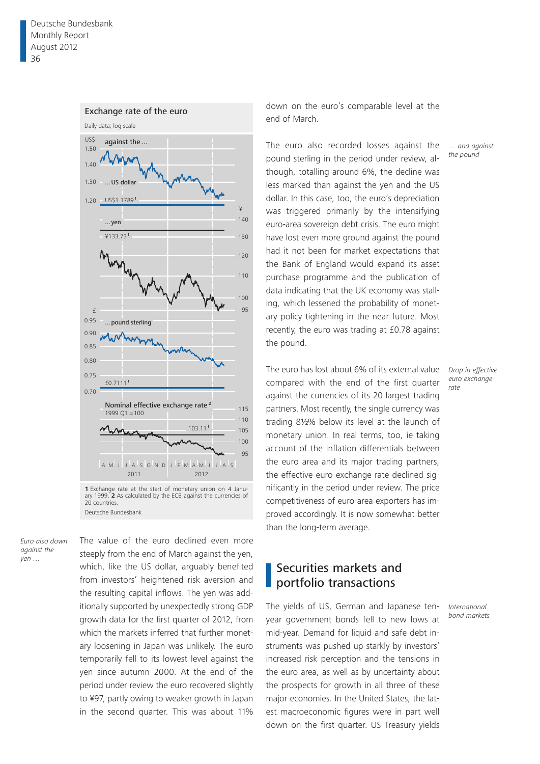

*Euro also down against the yen …*

The value of the euro declined even more steeply from the end of March against the yen, which, like the US dollar, arguably benefited from investors' heightened risk aversion and the resulting capital inflows. The yen was additionally supported by unexpectedly strong GDP growth data for the first quarter of 2012, from which the markets inferred that further monetary loosening in Japan was unlikely. The euro temporarily fell to its lowest level against the yen since autumn 2000. At the end of the period under review the euro recovered slightly to ¥97, partly owing to weaker growth in Japan in the second quarter. This was about 11% down on the euro's comparable level at the end of March.

The euro also recorded losses against the pound sterling in the period under review, although, totalling around 6%, the decline was less marked than against the yen and the US dollar. In this case, too, the euro's depreciation was triggered primarily by the intensifying euro-area sovereign debt crisis. The euro might have lost even more ground against the pound had it not been for market expectations that the Bank of England would expand its asset purchase programme and the publication of data indicating that the UK economy was stalling, which lessened the probability of monetary policy tightening in the near future. Most recently, the euro was trading at £0.78 against the pound.

The euro has lost about 6% of its external value compared with the end of the first quarter against the currencies of its 20 largest trading partners. Most recently, the single currency was trading 8½% below its level at the launch of monetary union. In real terms, too, ie taking account of the inflation differentials between the euro area and its major trading partners, the effective euro exchange rate declined significantly in the period under review. The price competitiveness of euro-area exporters has improved accordingly. It is now somewhat better than the long-term average.

# Securities markets and portfolio transactions

The yields of US, German and Japanese tenyear government bonds fell to new lows at mid-year. Demand for liquid and safe debt instruments was pushed up starkly by investors' increased risk perception and the tensions in the euro area, as well as by uncertainty about the prospects for growth in all three of these major economies. In the United States, the latest macroeconomic figures were in part well down on the first quarter. US Treasury yields

*… and against the pound*

*Drop in effective euro exchange rate*

*International bond markets*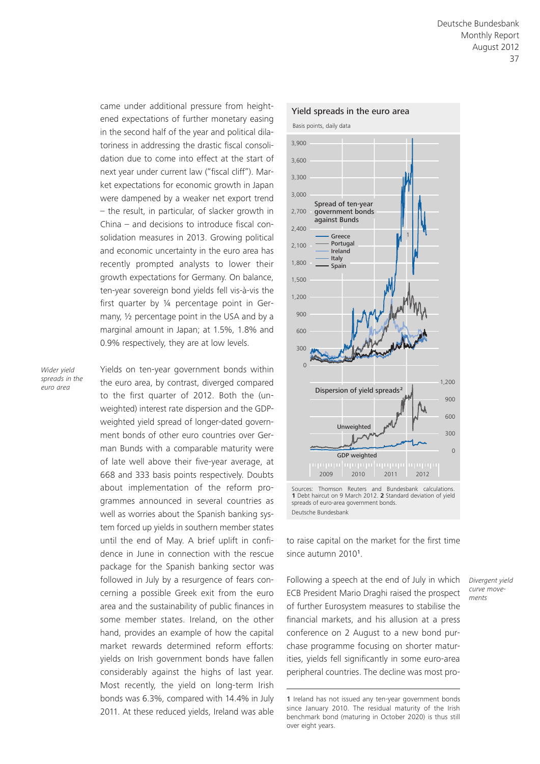came under additional pressure from heightened expectations of further monetary easing in the second half of the year and political dilatoriness in addressing the drastic fiscal consolidation due to come into effect at the start of next year under current law ("fiscal cliff"). Market expectations for economic growth in Japan were dampened by a weaker net export trend – the result, in particular, of slacker growth in China – and decisions to introduce fiscal consolidation measures in 2013. Growing political and economic uncertainty in the euro area has recently prompted analysts to lower their growth expectations for Germany. On balance, ten-year sovereign bond yields fell vis-à-vis the first quarter by ¼ percentage point in Germany, ½ percentage point in the USA and by a marginal amount in Japan; at 1.5%, 1.8% and 0.9% respectively, they are at low levels.

*Wider yield spreads in the euro area*

Yields on ten-year government bonds within the euro area, by contrast, diverged compared to the first quarter of 2012. Both the (unweighted) interest rate dispersion and the GDPweighted yield spread of longer-dated government bonds of other euro countries over German Bunds with a comparable maturity were of late well above their five-year average, at 668 and 333 basis points respectively. Doubts about implementation of the reform programmes announced in several countries as well as worries about the Spanish banking system forced up yields in southern member states until the end of May. A brief uplift in confidence in June in connection with the rescue package for the Spanish banking sector was followed in July by a resurgence of fears concerning a possible Greek exit from the euro area and the sustainability of public finances in some member states. Ireland, on the other hand, provides an example of how the capital market rewards determined reform efforts: yields on Irish government bonds have fallen considerably against the highs of last year. Most recently, the yield on long-term Irish bonds was 6.3%, compared with 14.4% in July 2011. At these reduced yields, Ireland was able



Sources: Thomson Reuters and Bundesbank calculations. **1** Debt haircut on 9 March 2012. **2** Standard deviation of yield spreads of euro-area government bonds. Deutsche Bundesbank

to raise capital on the market for the first time since autumn 20101.

Following a speech at the end of July in which ECB President Mario Draghi raised the prospect of further Eurosystem measures to stabilise the financial markets, and his allusion at a press conference on 2 August to a new bond purchase programme focusing on shorter maturities, yields fell significantly in some euro-area peripheral countries. The decline was most pro*Divergent yield curve movements*

<sup>1</sup> Ireland has not issued any ten-year government bonds since January 2010. The residual maturity of the Irish benchmark bond (maturing in October 2020) is thus still over eight years.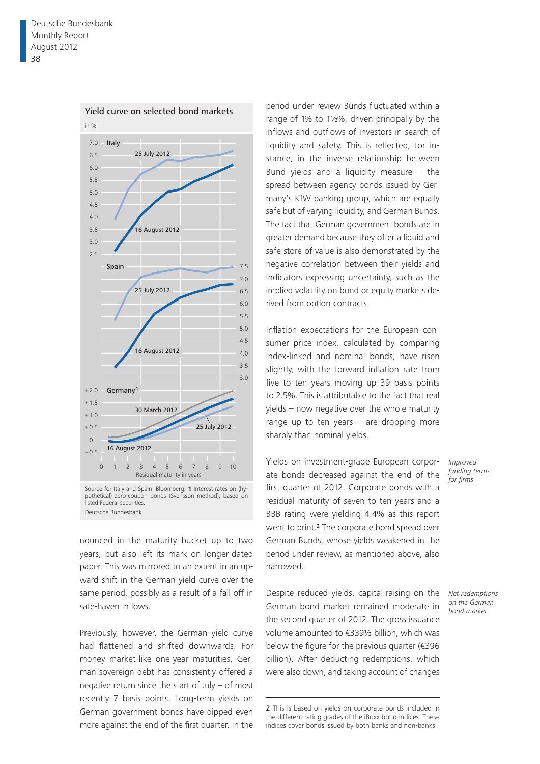

Deutsche Bundesbank

nounced in the maturity bucket up to two years, but also left its mark on longer-dated paper. This was mirrored to an extent in an upward shift in the German yield curve over the same period, possibly as a result of a fall-off in safe-haven inflows.

Previously, however, the German yield curve had flattened and shifted downwards. For money market-like one-year maturities, German sovereign debt has consistently offered a negative return since the start of July – of most recently 7 basis points. Long-term yields on German government bonds have dipped even more against the end of the first quarter. In the

period under review Bunds fluctuated within a range of 1% to 1½%, driven principally by the inflows and outflows of investors in search of liquidity and safety. This is reflected, for instance, in the inverse relationship between Bund yields and a liquidity measure  $-$  the spread between agency bonds issued by Germany's KfW banking group, which are equally safe but of varying liquidity, and German Bunds. The fact that German government bonds are in greater demand because they offer a liquid and safe store of value is also demonstrated by the negative correlation between their yields and indicators expressing uncertainty, such as the implied volatility on bond or equity markets derived from option contracts.

Inflation expectations for the European consumer price index, calculated by comparing index-linked and nominal bonds, have risen slightly, with the forward inflation rate from five to ten years moving up 39 basis points to 2.5%. This is attributable to the fact that real yields – now negative over the whole maturity range up to ten years  $-$  are dropping more sharply than nominal yields.

Yields on investment-grade European corporate bonds decreased against the end of the first quarter of 2012. Corporate bonds with a residual maturity of seven to ten years and a BBB rating were yielding 4.4% as this report went to print.<sup>2</sup> The corporate bond spread over German Bunds, whose yields weakened in the period under review, as mentioned above, also narrowed.

Despite reduced yields, capital-raising on the German bond market remained moderate in the second quarter of 2012. The gross issuance volume amounted to €339½ billion, which was below the figure for the previous quarter (€396 billion). After deducting redemptions, which were also down, and taking account of changes

*Improved funding terms for firms*

*Net redemptions on the German bond market*

<sup>2</sup> This is based on yields on corporate bonds included in the different rating grades of the iBoxx bond indices. These indices cover bonds issued by both banks and non-banks.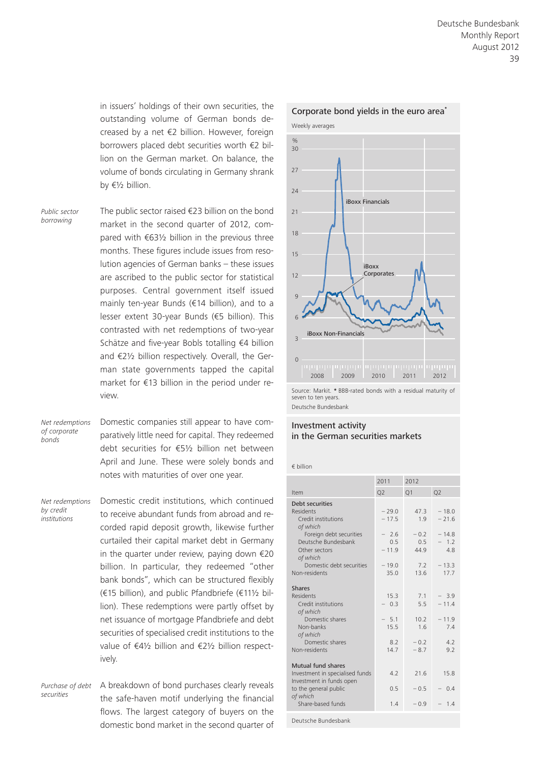in issuers' holdings of their own securities, the outstanding volume of German bonds decreased by a net €2 billion. However, foreign borrowers placed debt securities worth €2 billion on the German market. On balance, the volume of bonds circulating in Germany shrank by €½ billion.

*Public sector borrowing*

The public sector raised €23 billion on the bond market in the second quarter of 2012, compared with €63½ billion in the previous three months. These figures include issues from resolution agencies of German banks – these issues are ascribed to the public sector for statistical purposes. Central government itself issued mainly ten-year Bunds (€14 billion), and to a lesser extent 30-year Bunds (€5 billion). This contrasted with net redemptions of two-year Schätze and five-year Bobls totalling €4 billion and €2½ billion respectively. Overall, the German state governments tapped the capital market for €13 billion in the period under review.

*Net redemptions of corporate bonds*

Domestic companies still appear to have comparatively little need for capital. They redeemed debt securities for €5½ billion net between April and June. These were solely bonds and notes with maturities of over one year.

*Net redemptions by credit institutions*

Domestic credit institutions, which continued to receive abundant funds from abroad and recorded rapid deposit growth, likewise further curtailed their capital market debt in Germany in the quarter under review, paying down €20 billion. In particular, they redeemed "other bank bonds", which can be structured flexibly (€15 billion), and public Pfandbriefe (€11½ billion). These redemptions were partly offset by net issuance of mortgage Pfandbriefe and debt securities of specialised credit institutions to the value of €4½ billion and €2½ billion respectively.

*Purchase of debt securities*

A breakdown of bond purchases clearly reveals the safe-haven motif underlying the financial flows. The largest category of buyers on the domestic bond market in the second quarter of



# Corporate bond yields in the euro area**\***

Source: Markit. **\*** BBB-rated bonds with a residual maturity of seven to ten years. Deutsche Bundesbank

### Investment activity in the German securities markets

€ billion

|                                                                                                                                    | 2011                                           | 2012                                |                                              |
|------------------------------------------------------------------------------------------------------------------------------------|------------------------------------------------|-------------------------------------|----------------------------------------------|
| Item                                                                                                                               | Q <sub>2</sub>                                 | Q1                                  | Q <sub>2</sub>                               |
| Debt securities<br>Residents<br>Credit institutions<br>of which<br>Foreign debt securities<br>Deutsche Bundesbank<br>Other sectors | $-29.0$<br>$-17.5$<br>$-2.6$<br>0.5<br>$-11.9$ | 47.3<br>1.9<br>$-0.2$<br>0.5<br>449 | $-18.0$<br>$-21.6$<br>$-14.8$<br>$-12$<br>48 |
| of which<br>Domestic debt securities<br>Non-residents                                                                              | $-19.0$<br>35.0                                | 7.2<br>13.6                         | $-13.3$<br>17.7                              |
| <b>Shares</b><br>Residents<br>Credit institutions<br>of which                                                                      | 15.3<br>$-03$                                  | 7.1<br>5.5                          | $-3.9$<br>$-11.4$                            |
| Domestic shares<br>Non-banks<br>of which                                                                                           | $-5.1$<br>15.5                                 | 10.2<br>1.6                         | $-11.9$<br>7.4                               |
| Domestic shares<br>Non-residents                                                                                                   | 8.2<br>147                                     | $-0.2$<br>$-8.7$                    | 4.2<br>9.2                                   |
| Mutual fund shares<br>Investment in specialised funds<br>Investment in funds open                                                  | 42                                             | 21.6                                | 15.8                                         |
| to the general public<br>of which                                                                                                  | 0.5                                            | $-0.5$                              | 0.4                                          |
| Share-based funds                                                                                                                  | 1.4                                            | $-0.9$                              | 1.4                                          |
| Deutsche Bundesbank                                                                                                                |                                                |                                     |                                              |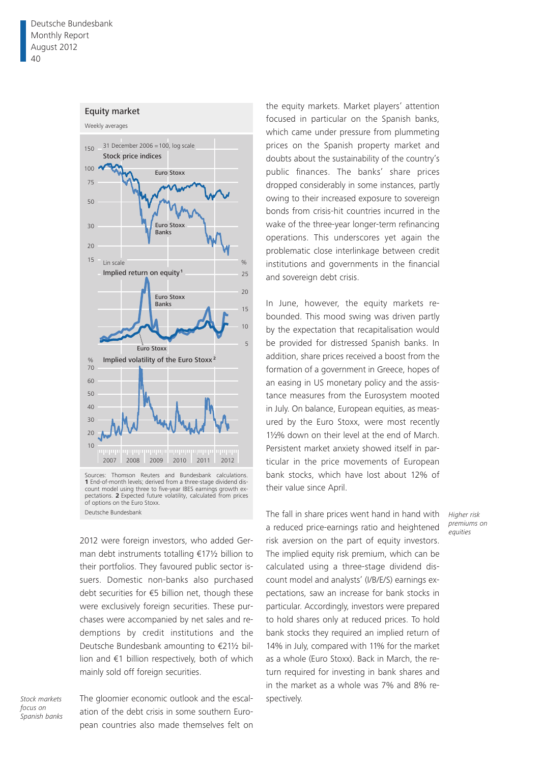#### Equity market



Sources: Thomson Reuters and Bundesbank calculations. **1** End-of-month levels; derived from a three-stage dividend discount model using three to five-year IBES earnings growth expectations. **2** Expected future volatility, calculated from prices of options on the Euro Stoxx. Deutsche Bundesbank

2012 were foreign investors, who added German debt instruments totalling €17½ billion to their portfolios. They favoured public sector issuers. Domestic non-banks also purchased debt securities for €5 billion net, though these were exclusively foreign securities. These purchases were accompanied by net sales and redemptions by credit institutions and the Deutsche Bundesbank amounting to €21½ billion and €1 billion respectively, both of which mainly sold off foreign securities.

*focus on Spanish banks*

Stock markets The gloomier economic outlook and the escal- spectively. ation of the debt crisis in some southern European countries also made themselves felt on

the equity markets. Market players' attention focused in particular on the Spanish banks, which came under pressure from plummeting prices on the Spanish property market and doubts about the sustainability of the country's public finances. The banks' share prices dropped considerably in some instances, partly owing to their increased exposure to sovereign bonds from crisis-hit countries incurred in the wake of the three-year longer-term refinancing operations. This underscores yet again the problematic close interlinkage between credit institutions and governments in the financial and sovereign debt crisis.

In June, however, the equity markets rebounded. This mood swing was driven partly by the expectation that recapitalisation would be provided for distressed Spanish banks. In addition, share prices received a boost from the formation of a government in Greece, hopes of an easing in US monetary policy and the assistance measures from the Eurosystem mooted in July. On balance, European equities, as measured by the Euro Stoxx, were most recently 1½% down on their level at the end of March. Persistent market anxiety showed itself in particular in the price movements of European bank stocks, which have lost about 12% of their value since April.

The fall in share prices went hand in hand with a reduced price-earnings ratio and heightened risk aversion on the part of equity investors. The implied equity risk premium, which can be calculated using a three-stage dividend discount model and analysts' (I/B/E/S) earnings expectations, saw an increase for bank stocks in particular. Accordingly, investors were prepared to hold shares only at reduced prices. To hold bank stocks they required an implied return of 14% in July, compared with 11% for the market as a whole (Euro Stoxx). Back in March, the return required for investing in bank shares and in the market as a whole was 7% and 8% re-

*Higher risk premiums on equities*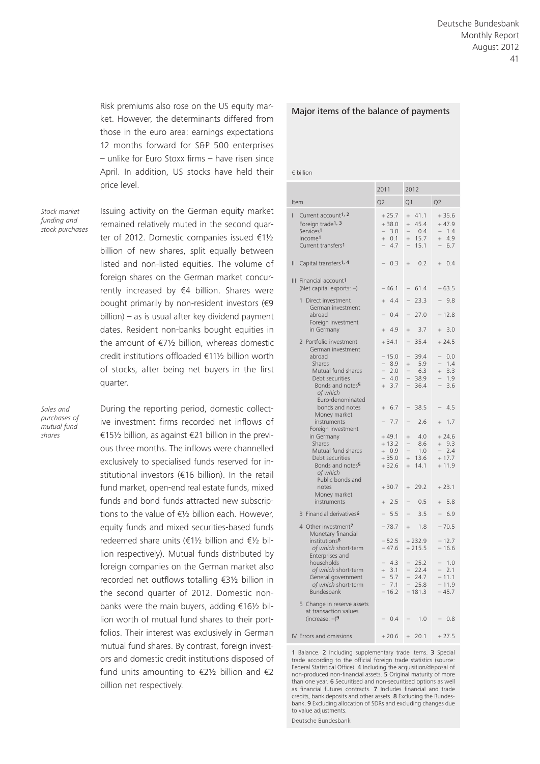Risk premiums also rose on the US equity market. However, the determinants differed from those in the euro area: earnings expectations 12 months forward for S&P 500 enterprises – unlike for Euro Stoxx firms – have risen since April. In addition, US stocks have held their price level.

*Stock market funding and stock purchases* Issuing activity on the German equity market remained relatively muted in the second quarter of 2012. Domestic companies issued €1½ billion of new shares, split equally between listed and non-listed equities. The volume of foreign shares on the German market concurrently increased by €4 billion. Shares were bought primarily by non-resident investors (€9 billion) – as is usual after key dividend payment dates. Resident non-banks bought equities in the amount of  $E7\frac{1}{2}$  billion, whereas domestic credit institutions offloaded €11½ billion worth of stocks, after being net buyers in the first quarter.

*Sales and purchases of mutual fund shares*

During the reporting period, domestic collective investment firms recorded net inflows of €15½ billion, as against €21 billion in the previous three months. The inflows were channelled exclusively to specialised funds reserved for institutional investors (€16 billion). In the retail fund market, open-end real estate funds, mixed funds and bond funds attracted new subscriptions to the value of  $E_2$  billion each. However, equity funds and mixed securities-based funds redeemed share units (€1½ billion and €½ billion respectively). Mutual funds distributed by foreign companies on the German market also recorded net outflows totalling €3½ billion in the second quarter of 2012. Domestic nonbanks were the main buyers, adding €16½ billion worth of mutual fund shares to their portfolios. Their interest was exclusively in German mutual fund shares. By contrast, foreign investors and domestic credit institutions disposed of fund units amounting to  $\epsilon$ 2½ billion and  $\epsilon$ 2 billion net respectively.

#### Major items of the balance of payments

€ billion

|                                                                                                                                                         | 2011                                                | 2012                                                                                          |                                                                            |
|---------------------------------------------------------------------------------------------------------------------------------------------------------|-----------------------------------------------------|-----------------------------------------------------------------------------------------------|----------------------------------------------------------------------------|
| Item                                                                                                                                                    | Q <sub>2</sub>                                      | Q1                                                                                            | Q <sub>2</sub>                                                             |
| Current account <sup>1, 2</sup><br>I<br>Foreign trade <sup>1, 3</sup><br>Services <sup>1</sup><br>Income <sup>1</sup><br>Current transfers <sup>1</sup> | $+25.7$<br>$+38.0$<br>$-3.0$<br>0.1<br>$+$<br>4.7   | 41.1<br>$+$<br>45.4<br>$^{+}$<br>0.4<br>$\overline{\phantom{0}}$<br>15.7<br>$\! + \!$<br>15.1 | $+35.6$<br>$+47.9$<br>1.4<br>$\overline{\phantom{0}}$<br>4.9<br>$+$<br>6.7 |
| Capital transfers <sup>1, 4</sup><br>Ш                                                                                                                  | 0.3                                                 | 0.2<br>$^{+}$                                                                                 | 0.4<br>$\ddot{}$                                                           |
| III Financial account <sup>1</sup><br>(Net capital exports: $-$ )                                                                                       | $-46.1$                                             | 61.4                                                                                          | $-63.5$                                                                    |
| Direct investment<br>1<br>German investment                                                                                                             | $+ 4.4$                                             | 23.3                                                                                          | 9.8                                                                        |
| abroad<br>Foreign investment                                                                                                                            | 0.4                                                 | 27.0                                                                                          | $-12.8$                                                                    |
| in Germany                                                                                                                                              | 4.9<br>$+$                                          | $\ddot{}$<br>3.7                                                                              | 3.0<br>$^{+}$                                                              |
| 2 Portfolio investment<br>German investment                                                                                                             | $+34.1$                                             | 35.4                                                                                          | $+24.5$                                                                    |
| abroad<br>Shares<br>Mutual fund shares<br>Debt securities<br>Bonds and notes <sup>5</sup><br>of which                                                   | $-15.0$<br>8.9<br>2.0<br>4.0<br>3.7<br>$^{+}$       | 39.4<br>5.9<br>$^{+}$<br>6.3<br>38.9<br>36.4                                                  | 0.0<br>1.4<br>3.3<br>$^{+}$<br>1.9<br>3.6                                  |
| Euro-denominated<br>bonds and notes<br>Money market                                                                                                     | 6.7<br>$\ddot{}$                                    | 38.5                                                                                          | 4.5                                                                        |
| instruments<br>Foreign investment                                                                                                                       | 7.7                                                 | 2.6                                                                                           | 1.7<br>$^{+}$                                                              |
| in Germany<br>Shares<br>Mutual fund shares<br>Debt securities<br>Bonds and notes <sup>5</sup><br>of which                                               | $+49.1$<br>$+13.2$<br>$+ 0.9$<br>$+35.0$<br>$+32.6$ | 4.0<br>$^{+}$<br>8.6<br>1.0<br>13.6<br>$\ddot{}$<br>14.1<br>$^{+}$                            | $+24.6$<br>$+9.3$<br>2.4<br>$+17.7$<br>$+11.9$                             |
| Public bonds and<br>notes                                                                                                                               | $+30.7$                                             | 29.2<br>$+$                                                                                   | $+23.1$                                                                    |
| Money market<br>instruments                                                                                                                             | 2.5<br>$+$                                          | 0.5                                                                                           | 5.8<br>$\ddot{}$                                                           |
| 3 Financial derivatives <sup>6</sup>                                                                                                                    | 5.5                                                 | 3.5<br>$\overline{\phantom{0}}$                                                               | 6.9                                                                        |
| 4 Other investment7<br>Monetary financial                                                                                                               | $-78.7$                                             | 1.8<br>$^{+}$                                                                                 | $-70.5$                                                                    |
| institutions <sup>8</sup><br>of which short-term<br>Enterprises and                                                                                     | $-52.5$<br>$-47.6$                                  | $+232.9$<br>$+215.5$                                                                          | $-12.7$<br>$-16.6$                                                         |
| households<br>of which short-term<br>General government<br>of which short-term<br>Bundesbank                                                            | 4.3<br>3.1<br>$^{+}$<br>5.7<br>7.1<br>$-16.2$       | 25.2<br>22.4<br>24.7<br>25.8<br>$-181.3$                                                      | 1.0<br>2.1<br>$-11.1$<br>$-11.9$<br>$-45.7$                                |
| 5 Change in reserve assets<br>at transaction values<br>(increase: $-$ )9                                                                                | 0.4                                                 | 1.0                                                                                           | $-0.8$                                                                     |
| IV Errors and omissions                                                                                                                                 | $+20.6$                                             | 20.1<br>$\! + \!$                                                                             | $+27.5$                                                                    |

1 Balance. 2 Including supplementary trade items. 3 Special trade according to the official foreign trade statistics (source: Federal Statistical Office). 4 Including the acquisition/disposal of non-produced non-financial assets. 5 Original maturity of more than one year. 6 Securitised and non-securitised options as well as financial futures contracts. 7 Includes financial and trade credits, bank deposits and other assets. 8 Excluding the Bundesbank. 9 Excluding allocation of SDRs and excluding changes due to value adjustments.

Deutsche Bundesbank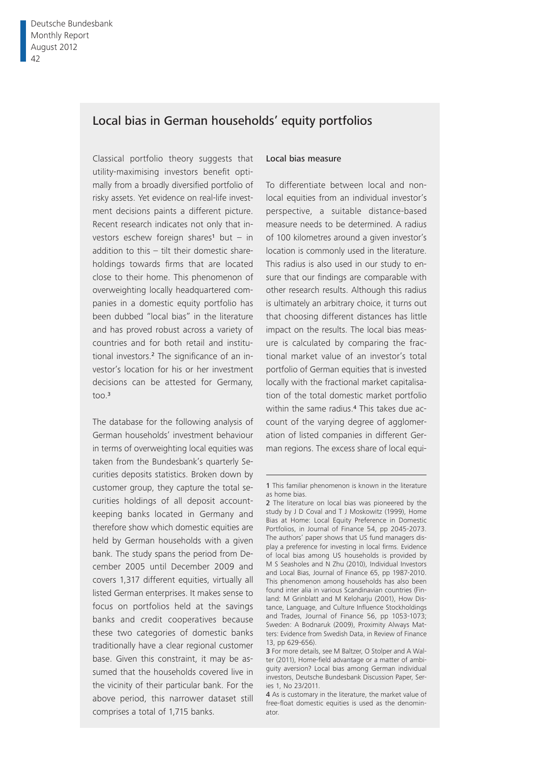# Local bias in German households' equity portfolios

Classical portfolio theory suggests that utility-maximising investors benefit optimally from a broadly diversified portfolio of risky assets. Yet evidence on real-life investment decisions paints a different picture. Recent research indicates not only that investors eschew foreign shares<sup>1</sup> but  $-$  in addition to this – tilt their domestic shareholdings towards firms that are located close to their home. This phenomenon of overweighting locally headquartered companies in a domestic equity portfolio has been dubbed "local bias" in the literature and has proved robust across a variety of countries and for both retail and institutional investors.<sup>2</sup> The significance of an investor's location for his or her investment decisions can be attested for Germany,  $\frac{1}{2}$ 

The database for the following analysis of German households' investment behaviour in terms of overweighting local equities was taken from the Bundesbank's quarterly Securities deposits statistics. Broken down by customer group, they capture the total securities holdings of all deposit accountkeeping banks located in Germany and therefore show which domestic equities are held by German households with a given bank. The study spans the period from December 2005 until December 2009 and covers 1,317 different equities, virtually all listed German enterprises. It makes sense to focus on portfolios held at the savings banks and credit cooperatives because these two categories of domestic banks traditionally have a clear regional customer base. Given this constraint, it may be assumed that the households covered live in the vicinity of their particular bank. For the above period, this narrower dataset still comprises a total of 1,715 banks.

### Local bias measure

To differentiate between local and nonlocal equities from an individual investor's perspective, a suitable distance-based measure needs to be determined. A radius of 100 kilometres around a given investor's location is commonly used in the literature. This radius is also used in our study to ensure that our findings are comparable with other research results. Although this radius is ultimately an arbitrary choice, it turns out that choosing different distances has little impact on the results. The local bias measure is calculated by comparing the fractional market value of an investor's total portfolio of German equities that is invested locally with the fractional market capitalisation of the total domestic market portfolio within the same radius.<sup>4</sup> This takes due account of the varying degree of agglomeration of listed companies in different German regions. The excess share of local equi-

<sup>1</sup> This familiar phenomenon is known in the literature as home bias.

<sup>2</sup> The literature on local bias was pioneered by the study by J D Coval and T J Moskowitz (1999), Home Bias at Home: Local Equity Preference in Domestic Portfolios, in Journal of Finance 54, pp 2045-2073. The authors' paper shows that US fund managers display a preference for investing in local firms. Evidence of local bias among US households is provided by M S Seasholes and N Zhu (2010), Individual Investors and Local Bias, Journal of Finance 65, pp 1987-2010. This phenomenon among households has also been found inter alia in various Scandinavian countries (Finland: M Grinblatt and M Keloharju (2001), How Distance, Language, and Culture Influence Stockholdings and Trades, Journal of Finance 56, pp 1053-1073; Sweden: A Bodnaruk (2009), Proximity Always Matters: Evidence from Swedish Data, in Review of Finance 13, pp 629-656).

<sup>3</sup> For more details, see M Baltzer, O Stolper and A Walter (2011), Home-field advantage or a matter of ambiguity aversion? Local bias among German individual investors, Deutsche Bundesbank Discussion Paper, Series 1, No 23/2011.

<sup>4</sup> As is customary in the literature, the market value of free-float domestic equities is used as the denominator.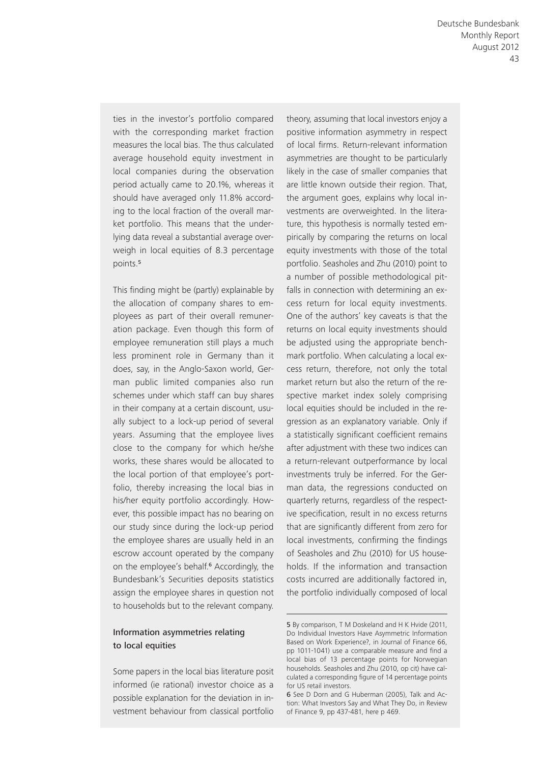ties in the investor's portfolio compared with the corresponding market fraction measures the local bias. The thus calculated average household equity investment in local companies during the observation period actually came to 20.1%, whereas it should have averaged only 11.8% according to the local fraction of the overall market portfolio. This means that the underlying data reveal a substantial average overweigh in local equities of 8.3 percentage points.<sup>5</sup>

This finding might be (partly) explainable by the allocation of company shares to employees as part of their overall remuneration package. Even though this form of employee remuneration still plays a much less prominent role in Germany than it does, say, in the Anglo-Saxon world, German public limited companies also run schemes under which staff can buy shares in their company at a certain discount, usually subject to a lock-up period of several years. Assuming that the employee lives close to the company for which he/she works, these shares would be allocated to the local portion of that employee's portfolio, thereby increasing the local bias in his/her equity portfolio accordingly. However, this possible impact has no bearing on our study since during the lock-up period the employee shares are usually held in an escrow account operated by the company on the employee's behalf.<sup>6</sup> Accordingly, the Bundesbank's Securities deposits statistics assign the employee shares in question not to households but to the relevant company.

### Information asymmetries relating to local equities

Some papers in the local bias literature posit informed (ie rational) investor choice as a possible explanation for the deviation in investment behaviour from classical portfolio theory, assuming that local investors enjoy a positive information asymmetry in respect of local firms. Return-relevant information asymmetries are thought to be particularly likely in the case of smaller companies that are little known outside their region. That, the argument goes, explains why local investments are overweighted. In the literature, this hypothesis is normally tested empirically by comparing the returns on local equity investments with those of the total portfolio. Seasholes and Zhu (2010) point to a number of possible methodological pitfalls in connection with determining an excess return for local equity investments. One of the authors' key caveats is that the returns on local equity investments should be adjusted using the appropriate benchmark portfolio. When calculating a local excess return, therefore, not only the total market return but also the return of the respective market index solely comprising local equities should be included in the regression as an explanatory variable. Only if a statistically significant coefficient remains after adjustment with these two indices can a return-relevant outperformance by local investments truly be inferred. For the German data, the regressions conducted on quarterly returns, regardless of the respective specification, result in no excess returns that are significantly different from zero for local investments, confirming the findings of Seasholes and Zhu (2010) for US households. If the information and transaction costs incurred are additionally factored in, the portfolio individually composed of local

<sup>5</sup> By comparison, T M Doskeland and H K Hvide (2011, Do Individual Investors Have Asymmetric Information Based on Work Experience?, in Journal of Finance 66, pp 1011-1041) use a comparable measure and find a local bias of 13 percentage points for Norwegian households. Seasholes and Zhu (2010, op cit) have calculated a corresponding figure of 14 percentage points for US retail investors.

<sup>6</sup> See D Dorn and G Huberman (2005), Talk and Action: What Investors Say and What They Do, in Review of Finance 9, pp 437-481, here p 469.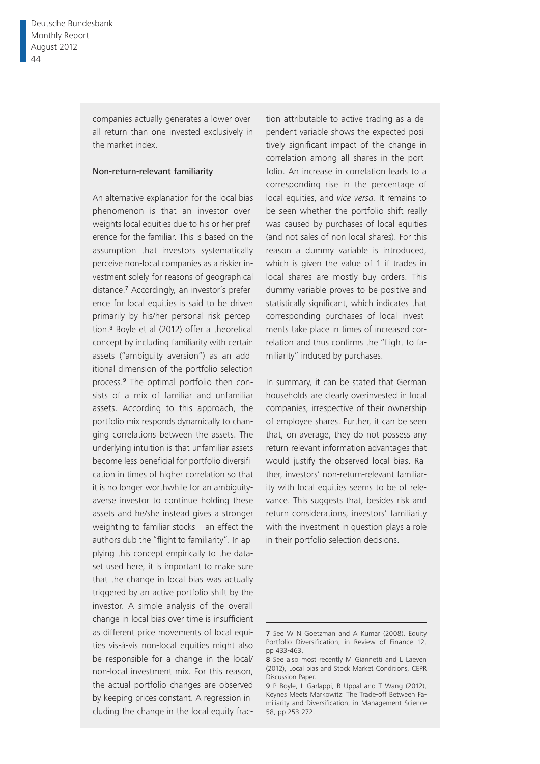companies actually generates a lower overall return than one invested exclusively in the market index.

### Non-return-relevant familiarity

An alternative explanation for the local bias phenomenon is that an investor overweights local equities due to his or her preference for the familiar. This is based on the assumption that investors systematically perceive non-local companies as a riskier investment solely for reasons of geographical distance.7 Accordingly, an investor's preference for local equities is said to be driven primarily by his/her personal risk perception.8 Boyle et al (2012) offer a theoretical concept by including familiarity with certain assets ("ambiguity aversion") as an additional dimension of the portfolio selection process.9 The optimal portfolio then consists of a mix of familiar and unfamiliar assets. According to this approach, the portfolio mix responds dynamically to changing correlations between the assets. The underlying intuition is that unfamiliar assets become less beneficial for portfolio diversification in times of higher correlation so that it is no longer worthwhile for an ambiguityaverse investor to continue holding these assets and he/she instead gives a stronger weighting to familiar stocks – an effect the authors dub the "flight to familiarity". In applying this concept empirically to the dataset used here, it is important to make sure that the change in local bias was actually triggered by an active portfolio shift by the investor. A simple analysis of the overall change in local bias over time is insufficient as different price movements of local equities vis-à-vis non-local equities might also be responsible for a change in the local/ non-local investment mix. For this reason, the actual portfolio changes are observed by keeping prices constant. A regression including the change in the local equity fraction attributable to active trading as a dependent variable shows the expected positively significant impact of the change in correlation among all shares in the portfolio. An increase in correlation leads to a corresponding rise in the percentage of local equities, and *vice versa*. It remains to be seen whether the portfolio shift really was caused by purchases of local equities (and not sales of non-local shares). For this reason a dummy variable is introduced, which is given the value of 1 if trades in local shares are mostly buy orders. This dummy variable proves to be positive and statistically significant, which indicates that corresponding purchases of local investments take place in times of increased correlation and thus confirms the "flight to familiarity" induced by purchases.

In summary, it can be stated that German households are clearly overinvested in local companies, irrespective of their ownership of employee shares. Further, it can be seen that, on average, they do not possess any return-relevant information advantages that would justify the observed local bias. Rather, investors' non-return-relevant familiarity with local equities seems to be of relevance. This suggests that, besides risk and return considerations, investors' familiarity with the investment in question plays a role in their portfolio selection decisions.

<sup>7</sup> See W N Goetzman and A Kumar (2008), Equity Portfolio Diversification, in Review of Finance 12, pp 433-463.

<sup>8</sup> See also most recently M Giannetti and L Laeven (2012), Local bias and Stock Market Conditions, CEPR Discussion Paper.

<sup>9</sup> P Boyle, L Garlappi, R Uppal and T Wang (2012), Keynes Meets Markowitz: The Trade-off Between Familiarity and Diversification, in Management Science 58, pp 253-272.